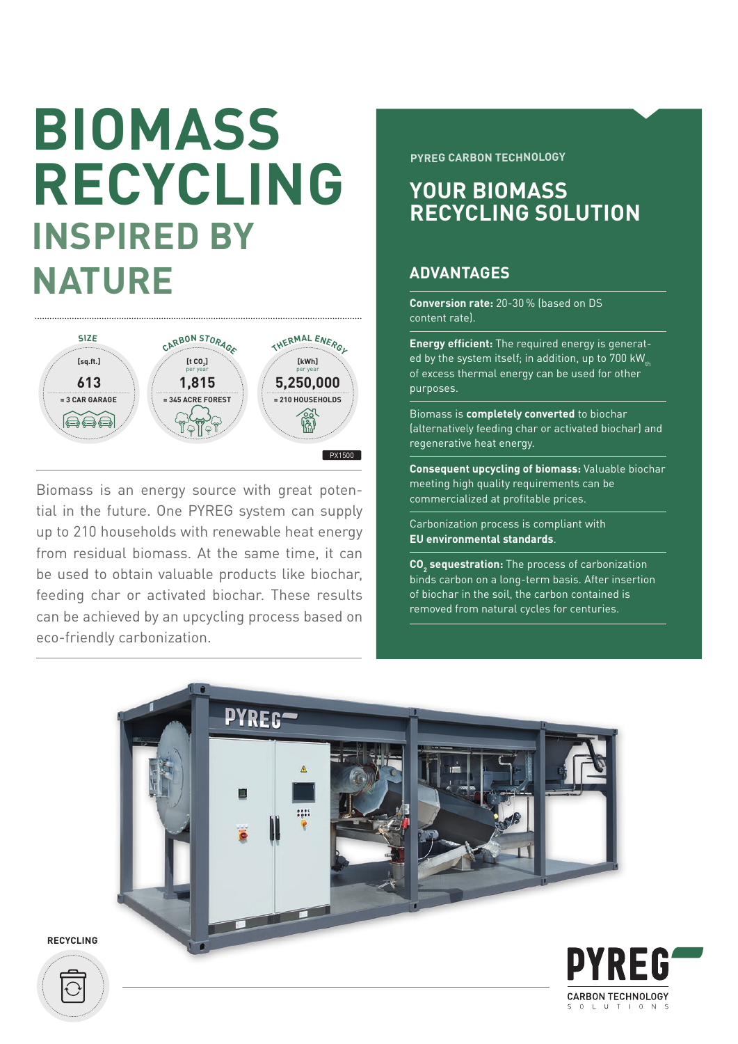# **BIOMASS RECYCLING INSPIRED BY NATURE**



Biomass is an energy source with great potential in the future. One PYREG system can supply up to 210 households with renewable heat energy from residual biomass. At the same time, it can be used to obtain valuable products like biochar, feeding char or activated biochar. These results can be achieved by an upcycling process based on eco-friendly carbonization.

**PYREG CARBON TECHNOLOGY**

### **YOUR BIOMASS RECYCLING SOLUTION**

### **ADVANTAGES**

**Conversion rate:** 20-30 % (based on DS content rate).

**Energy efficient:** The required energy is generated by the system itself; in addition, up to  $700$  kW<sub>th</sub> of excess thermal energy can be used for other purposes.

Biomass is **completely converted** to biochar (alternatively feeding char or activated biochar) and regenerative heat energy.

**Consequent upcycling of biomass:** Valuable biochar meeting high quality requirements can be commercialized at profitable prices.

Carbonization process is compliant with **EU environmental standards**.

**CO<sub>2</sub>** sequestration: The process of carbonization binds carbon on a long-term basis. After insertion of biochar in the soil, the carbon contained is removed from natural cycles for centuries.



**RECYCLING**